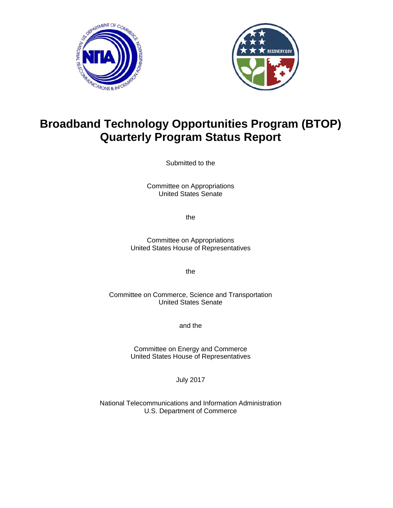



# **Broadband Technology Opportunities Program (BTOP) Quarterly Program Status Report**

Submitted to the

Committee on Appropriations United States Senate

the

Committee on Appropriations United States House of Representatives

the

Committee on Commerce, Science and Transportation United States Senate

and the

Committee on Energy and Commerce United States House of Representatives

July 2017

National Telecommunications and Information Administration U.S. Department of Commerce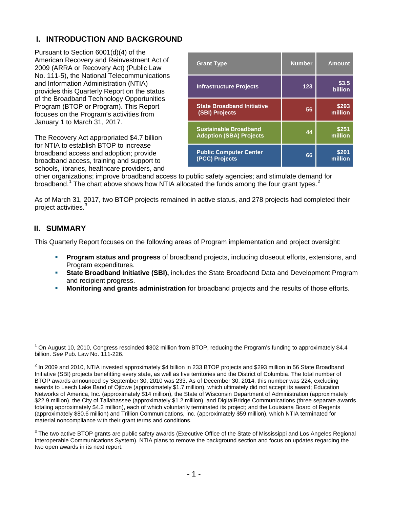## **I. INTRODUCTION AND BACKGROUND**

Pursuant to Section 6001(d)(4) of the American Recovery and Reinvestment Act of 2009 (ARRA or Recovery Act) (Public Law No. 111-5), the National Telecommunications and Information Administration (NTIA) provides this Quarterly Report on the status of the Broadband Technology Opportunities Program (BTOP or Program). This Report focuses on the Program's activities from January 1 to March 31, 2017.

The Recovery Act appropriated \$4.7 billion for NTIA to establish BTOP to increase broadband access and adoption; provide broadband access, training and support to schools, libraries, healthcare providers, and

| <b>Grant Type</b>                                              | <b>Number</b> | <b>Amount</b>    |
|----------------------------------------------------------------|---------------|------------------|
| <b>Infrastructure Projects</b>                                 | 123           | \$3.5<br>billion |
| <b>State Broadband Initiative</b><br>(SBI) Projects            | 56            | \$293<br>million |
| <b>Sustainable Broadband</b><br><b>Adoption (SBA) Projects</b> | 44            | \$251<br>million |
| <b>Public Computer Center</b><br>(PCC) Projects                | 66            | \$201<br>million |

other organizations; improve broadband access to public safety agencies; and stimulate demand for broadband.<sup>[1](#page-1-0)</sup> The chart above shows how NTIA allocated the funds among the four grant types.<sup>[2](#page-1-1)</sup>

As of March 31, 2017, two BTOP projects remained in active status, and 278 projects had completed their project activities.

#### **II. SUMMARY**

This Quarterly Report focuses on the following areas of Program implementation and project oversight:

- **Program status and progress** of broadband projects, including closeout efforts, extensions, and Program expenditures.
- **State Broadband Initiative (SBI),** includes the State Broadband Data and Development Program and recipient progress.
- **Monitoring and grants administration** for broadband projects and the results of those efforts.

<span id="page-1-0"></span> <sup>1</sup> On August 10, 2010, Congress rescinded \$302 million from BTOP, reducing the Program's funding to approximately \$4.4 billion. *See* Pub. Law No. 111-226.

<span id="page-1-1"></span> $2$  In 2009 and 2010, NTIA invested approximately \$4 billion in 233 BTOP projects and \$293 million in 56 State Broadband Initiative (SBI) projects benefitting every state, as well as five territories and the District of Columbia. The total number of BTOP awards announced by September 30, 2010 was 233. As of December 30, 2014, this number was 224, excluding awards to Leech Lake Band of Ojibwe (approximately \$1.7 million), which ultimately did not accept its award; Education Networks of America, Inc. (approximately \$14 million), the State of Wisconsin Department of Administration (approximately \$22.9 million), the City of Tallahassee (approximately \$1.2 million), and DigitalBridge Communications (three separate awards totaling approximately \$4.2 million), each of which voluntarily terminated its project; and the Louisiana Board of Regents (approximately \$80.6 million) and Trillion Communications, Inc. (approximately \$59 million), which NTIA terminated for material noncompliance with their grant terms and conditions.

<span id="page-1-2"></span><sup>&</sup>lt;sup>3</sup> The two active BTOP grants are public safety awards (Executive Office of the State of Mississippi and Los Angeles Regional Interoperable Communications System). NTIA plans to remove the background section and focus on updates regarding the two open awards in its next report.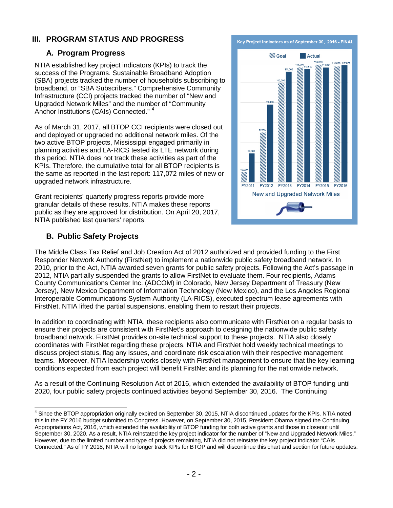## **III. PROGRAM STATUS AND PROGRESS**

## **A. Program Progress**

NTIA established key project indicators (KPIs) to track the success of the Programs. Sustainable Broadband Adoption (SBA) projects tracked the number of households subscribing to broadband, or "SBA Subscribers." Comprehensive Community Infrastructure (CCI) projects tracked the number of "New and Upgraded Network Miles" and the number of "Community Anchor Institutions (CAIs) Connected."<sup>[4](#page-2-0)</sup>

As of March 31, 2017, all BTOP CCI recipients were closed out and deployed or upgraded no additional network miles. Of the two active BTOP projects, Mississippi engaged primarily in planning activities and LA-RICS tested its LTE network during this period. NTIA does not track these activities as part of the KPIs. Therefore, the cumulative total for all BTOP recipients is the same as reported in the last report: 117,072 miles of new or upgraded network infrastructure.

Grant recipients' quarterly progress reports provide more granular details of these results. NTIA makes these reports public as they are approved for distribution. On April 20, 2017, NTIA published last quarters' reports.

## **B. Public Safety Projects**



The Middle Class Tax Relief and Job Creation Act of 2012 authorized and provided funding to the First Responder Network Authority (FirstNet) to implement a nationwide public safety broadband network. In 2010, prior to the Act, NTIA awarded seven grants for public safety projects. Following the Act's passage in 2012, NTIA partially suspended the grants to allow FirstNet to evaluate them. Four recipients, Adams County Communications Center Inc. (ADCOM) in Colorado, New Jersey Department of Treasury (New Jersey), New Mexico Department of Information Technology (New Mexico), and the Los Angeles Regional Interoperable Communications System Authority (LA-RICS), executed spectrum lease agreements with FirstNet. NTIA lifted the partial suspensions, enabling them to restart their projects.

In addition to coordinating with NTIA, these recipients also communicate with FirstNet on a regular basis to ensure their projects are consistent with FirstNet's approach to designing the nationwide public safety broadband network. FirstNet provides on-site technical support to these projects. NTIA also closely coordinates with FirstNet regarding these projects. NTIA and FirstNet hold weekly technical meetings to discuss project status, flag any issues, and coordinate risk escalation with their respective management teams. Moreover, NTIA leadership works closely with FirstNet management to ensure that the key learning conditions expected from each project will benefit FirstNet and its planning for the nationwide network.

As a result of the Continuing Resolution Act of 2016, which extended the availability of BTOP funding until 2020, four public safety projects continued activities beyond September 30, 2016. The Continuing

<span id="page-2-0"></span><sup>&</sup>lt;sup>4</sup> Since the BTOP appropriation originally expired on September 30, 2015, NTIA discontinued updates for the KPIs. NTIA noted this in the FY 2016 budget submitted to Congress. However, on September 30, 2015, President Obama signed the Continuing Appropriations Act, 2016, which extended the availability of BTOP funding for both active grants and those in closeout until September 30, 2020. As a result, NTIA reinstated the key project indicator for the number of "New and Upgraded Network Miles." However, due to the limited number and type of projects remaining, NTIA did not reinstate the key project indicator "CAIs Connected." As of FY 2018, NTIA will no longer track KPIs for BTOP and will discontinue this chart and section for future updates.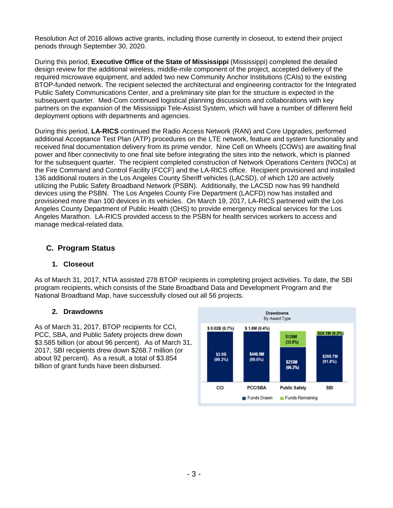Resolution Act of 2016 allows active grants, including those currently in closeout, to extend their project periods through September 30, 2020.

During this period, **Executive Office of the State of Mississippi** (Mississippi) completed the detailed design review for the additional wireless, middle-mile component of the project, accepted delivery of the required microwave equipment, and added two new Community Anchor Institutions (CAIs) to the existing BTOP-funded network. The recipient selected the architectural and engineering contractor for the Integrated Public Safety Communications Center, and a preliminary site plan for the structure is expected in the subsequent quarter. Med-Com continued logistical planning discussions and collaborations with key partners on the expansion of the Mississippi Tele-Assist System, which will have a number of different field deployment options with departments and agencies.

During this period, **LA-RICS** continued the Radio Access Network (RAN) and Core Upgrades, performed additional Acceptance Test Plan (ATP) procedures on the LTE network, feature and system functionality and received final documentation delivery from its prime vendor. Nine Cell on Wheels (COWs) are awaiting final power and fiber connectivity to one final site before integrating the sites into the network, which is planned for the subsequent quarter. The recipient completed construction of Network Operations Centers (NOCs) at the Fire Command and Control Facility (FCCF) and the LA-RICS office. Recipient provisioned and installed 136 additional routers in the Los Angeles County Sheriff vehicles (LACSD), of which 120 are actively utilizing the Public Safety Broadband Network (PSBN). Additionally, the LACSD now has 99 handheld devices using the PSBN. The Los Angeles County Fire Department (LACFD) now has installed and provisioned more than 100 devices in its vehicles. On March 19, 2017, LA-RICS partnered with the Los Angeles County Department of Public Health (OHS) to provide emergency medical services for the Los Angeles Marathon. LA-RICS provided access to the PSBN for health services workers to access and manage medical-related data.

## **C. Program Status**

#### **1. Closeout**

As of March 31, 2017, NTIA assisted 278 BTOP recipients in completing project activities. To date, the SBI program recipients, which consists of the State Broadband Data and Development Program and the National Broadband Map, have successfully closed out all 56 projects.

#### **2. Drawdowns**

As of March 31, 2017, BTOP recipients for CCI, PCC, SBA, and Public Safety projects drew down \$3.585 billion (or about 96 percent). As of March 31, 2017, SBI recipients drew down \$268.7 million (or about 92 percent). As a result, a total of \$3.854 billion of grant funds have been disbursed.